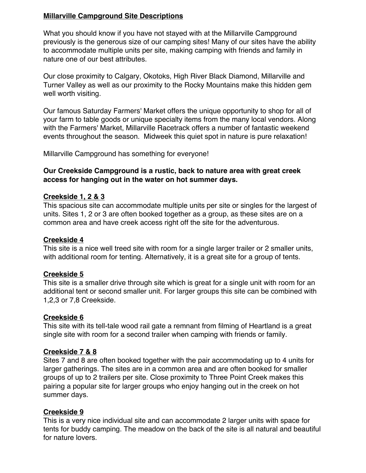## **Millarville Campground Site Descriptions**

What you should know if you have not stayed with at the Millarville Campground previously is the generous size of our camping sites! Many of our sites have the ability to accommodate multiple units per site, making camping with friends and family in nature one of our best attributes.

Our close proximity to Calgary, Okotoks, High River Black Diamond, Millarville and Turner Valley as well as our proximity to the Rocky Mountains make this hidden gem well worth visiting.

Our famous Saturday Farmers' Market offers the unique opportunity to shop for all of your farm to table goods or unique specialty items from the many local vendors. Along with the Farmers' Market, Millarville Racetrack offers a number of fantastic weekend events throughout the season. Midweek this quiet spot in nature is pure relaxation!

Millarville Campground has something for everyone!

### **Our Creekside Campground is a rustic, back to nature area with great creek access for hanging out in the water on hot summer days.**

### **Creekside 1, 2 & 3**

This spacious site can accommodate multiple units per site or singles for the largest of units. Sites 1, 2 or 3 are often booked together as a group, as these sites are on a common area and have creek access right off the site for the adventurous.

### **Creekside 4**

This site is a nice well treed site with room for a single larger trailer or 2 smaller units, with additional room for tenting. Alternatively, it is a great site for a group of tents.

### **Creekside 5**

This site is a smaller drive through site which is great for a single unit with room for an additional tent or second smaller unit. For larger groups this site can be combined with 1,2,3 or 7,8 Creekside.

### **Creekside 6**

This site with its tell-tale wood rail gate a remnant from filming of Heartland is a great single site with room for a second trailer when camping with friends or family.

### **Creekside 7 & 8**

Sites 7 and 8 are often booked together with the pair accommodating up to 4 units for larger gatherings. The sites are in a common area and are often booked for smaller groups of up to 2 trailers per site. Close proximity to Three Point Creek makes this pairing a popular site for larger groups who enjoy hanging out in the creek on hot summer days.

## **Creekside 9**

This is a very nice individual site and can accommodate 2 larger units with space for tents for buddy camping. The meadow on the back of the site is all natural and beautiful for nature lovers.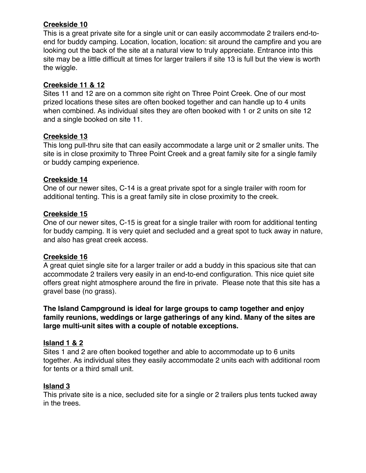## **Creekside 10**

This is a great private site for a single unit or can easily accommodate 2 trailers end-toend for buddy camping. Location, location, location: sit around the campfire and you are looking out the back of the site at a natural view to truly appreciate. Entrance into this site may be a little difficult at times for larger trailers if site 13 is full but the view is worth the wiggle.

## **Creekside 11 & 12**

Sites 11 and 12 are on a common site right on Three Point Creek. One of our most prized locations these sites are often booked together and can handle up to 4 units when combined. As individual sites they are often booked with 1 or 2 units on site 12 and a single booked on site 11.

# **Creekside 13**

This long pull-thru site that can easily accommodate a large unit or 2 smaller units. The site is in close proximity to Three Point Creek and a great family site for a single family or buddy camping experience.

## **Creekside 14**

One of our newer sites, C-14 is a great private spot for a single trailer with room for additional tenting. This is a great family site in close proximity to the creek.

## **Creekside 15**

One of our newer sites, C-15 is great for a single trailer with room for additional tenting for buddy camping. It is very quiet and secluded and a great spot to tuck away in nature, and also has great creek access.

## **Creekside 16**

A great quiet single site for a larger trailer or add a buddy in this spacious site that can accommodate 2 trailers very easily in an end-to-end configuration. This nice quiet site offers great night atmosphere around the fire in private. Please note that this site has a gravel base (no grass).

**The Island Campground is ideal for large groups to camp together and enjoy family reunions, weddings or large gatherings of any kind. Many of the sites are large multi-unit sites with a couple of notable exceptions.**

## **Island 1 & 2**

Sites 1 and 2 are often booked together and able to accommodate up to 6 units together. As individual sites they easily accommodate 2 units each with additional room for tents or a third small unit.

## **Island 3**

This private site is a nice, secluded site for a single or 2 trailers plus tents tucked away in the trees.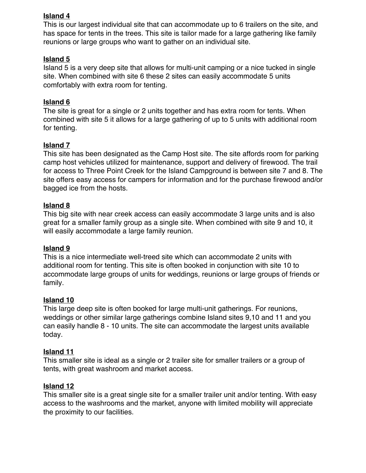## **Island 4**

This is our largest individual site that can accommodate up to 6 trailers on the site, and has space for tents in the trees. This site is tailor made for a large gathering like family reunions or large groups who want to gather on an individual site.

### **Island 5**

Island 5 is a very deep site that allows for multi-unit camping or a nice tucked in single site. When combined with site 6 these 2 sites can easily accommodate 5 units comfortably with extra room for tenting.

### **Island 6**

The site is great for a single or 2 units together and has extra room for tents. When combined with site 5 it allows for a large gathering of up to 5 units with additional room for tenting.

### **Island 7**

This site has been designated as the Camp Host site. The site affords room for parking camp host vehicles utilized for maintenance, support and delivery of firewood. The trail for access to Three Point Creek for the Island Campground is between site 7 and 8. The site offers easy access for campers for information and for the purchase firewood and/or bagged ice from the hosts.

### **Island 8**

This big site with near creek access can easily accommodate 3 large units and is also great for a smaller family group as a single site. When combined with site 9 and 10, it will easily accommodate a large family reunion.

### **Island 9**

This is a nice intermediate well-treed site which can accommodate 2 units with additional room for tenting. This site is often booked in conjunction with site 10 to accommodate large groups of units for weddings, reunions or large groups of friends or family.

### **Island 10**

This large deep site is often booked for large multi-unit gatherings. For reunions, weddings or other similar large gatherings combine Island sites 9,10 and 11 and you can easily handle 8 - 10 units. The site can accommodate the largest units available today.

### **Island 11**

This smaller site is ideal as a single or 2 trailer site for smaller trailers or a group of tents, with great washroom and market access.

### **Island 12**

This smaller site is a great single site for a smaller trailer unit and/or tenting. With easy access to the washrooms and the market, anyone with limited mobility will appreciate the proximity to our facilities.